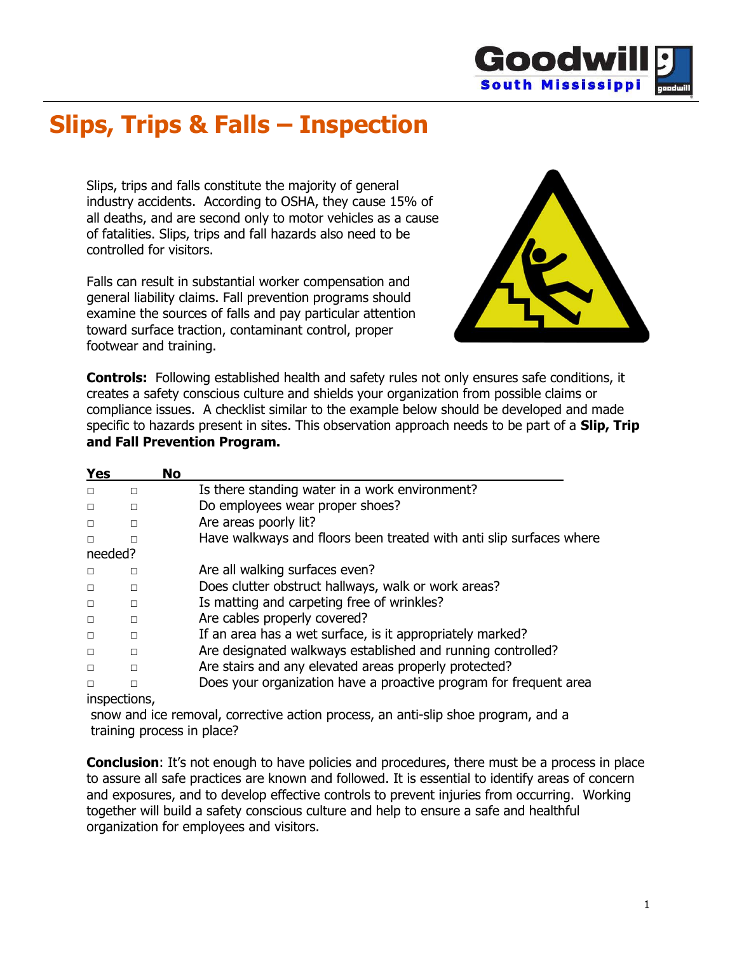

## **Slips, Trips & Falls – Inspection**

Slips, trips and falls constitute the majority of general industry accidents. According to OSHA, they cause 15% of all deaths, and are second only to motor vehicles as a cause of fatalities. Slips, trips and fall hazards also need to be controlled for visitors.

Falls can result in substantial worker compensation and general liability claims. Fall prevention programs should examine the sources of falls and pay particular attention toward surface traction, contaminant control, proper footwear and training.



**Controls:** Following established health and safety rules not only ensures safe conditions, it creates a safety conscious culture and shields your organization from possible claims or compliance issues. A checklist similar to the example below should be developed and made specific to hazards present in sites. This observation approach needs to be part of a **Slip, Trip and Fall Prevention Program.**

| <b>Yes</b> |              | <b>No</b> |                                                                     |
|------------|--------------|-----------|---------------------------------------------------------------------|
| $\Box$     | $\Box$       |           | Is there standing water in a work environment?                      |
| $\Box$     | П            |           | Do employees wear proper shoes?                                     |
| $\Box$     | П            |           | Are areas poorly lit?                                               |
| $\Box$     | П            |           | Have walkways and floors been treated with anti slip surfaces where |
| needed?    |              |           |                                                                     |
| $\Box$     | П            |           | Are all walking surfaces even?                                      |
| $\Box$     | П            |           | Does clutter obstruct hallways, walk or work areas?                 |
| $\Box$     | $\Box$       |           | Is matting and carpeting free of wrinkles?                          |
| $\Box$     | П            |           | Are cables properly covered?                                        |
| $\Box$     | П            |           | If an area has a wet surface, is it appropriately marked?           |
| $\Box$     | $\Box$       |           | Are designated walkways established and running controlled?         |
| $\Box$     | П            |           | Are stairs and any elevated areas properly protected?               |
| $\Box$     | п            |           | Does your organization have a proactive program for frequent area   |
|            | inspections, |           |                                                                     |

snow and ice removal, corrective action process, an anti-slip shoe program, and a training process in place?

**Conclusion**: It's not enough to have policies and procedures, there must be a process in place to assure all safe practices are known and followed. It is essential to identify areas of concern and exposures, and to develop effective controls to prevent injuries from occurring. Working together will build a safety conscious culture and help to ensure a safe and healthful organization for employees and visitors.